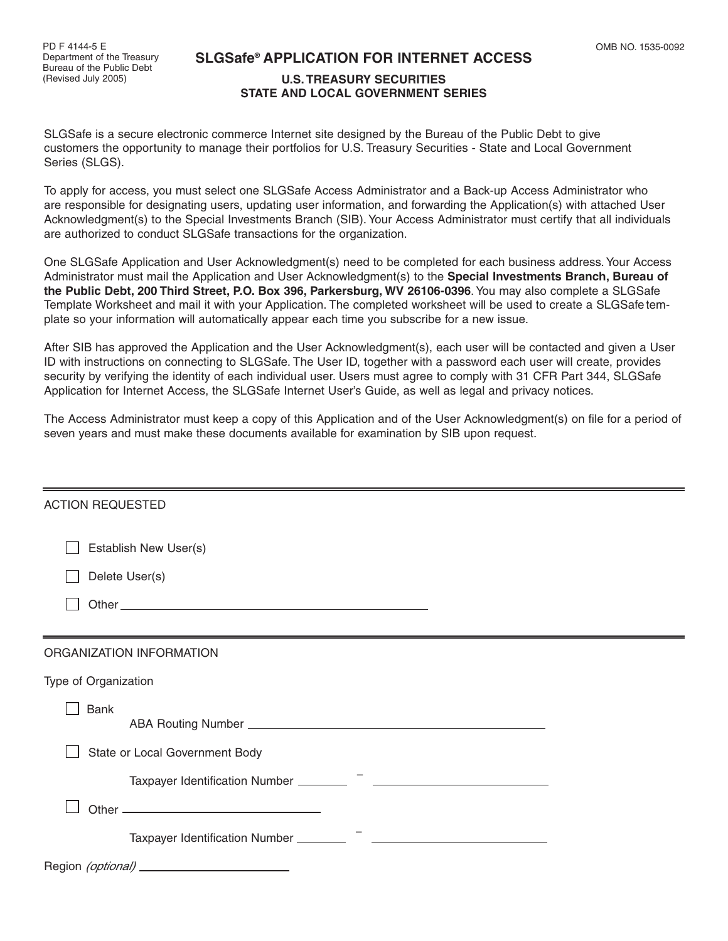## **SLGSafe® APPLICATION FOR INTERNET ACCESS**

## **U.S. TREASURY SECURITIES STATE AND LOCAL GOVERNMENT SERIES**

SLGSafe is a secure electronic commerce Internet site designed by the Bureau of the Public Debt to give customers the opportunity to manage their portfolios for U.S. Treasury Securities - State and Local Government Series (SLGS).

To apply for access, you must select one SLGSafe Access Administrator and a Back-up Access Administrator who are responsible for designating users, updating user information, and forwarding the Application(s) with attached User Acknowledgment(s) to the Special Investments Branch (SIB). Your Access Administrator must certify that all individuals are authorized to conduct SLGSafe transactions for the organization.

One SLGSafe Application and User Acknowledgment(s) need to be completed for each business address. Your Access Administrator must mail the Application and User Acknowledgment(s) to the **Special Investments Branch, Bureau of the Public Debt, 200 Third Street, P.O. Box 396, Parkersburg, WV 26106-0396**.You may also complete a SLGSafe Template Worksheet and mail it with your Application. The completed worksheet will be used to create a SLGSafe template so your information will automatically appear each time you subscribe for a new issue.

After SIB has approved the Application and the User Acknowledgment(s), each user will be contacted and given a User ID with instructions on connecting to SLGSafe. The User ID, together with a password each user will create, provides security by verifying the identity of each individual user. Users must agree to comply with 31 CFR Part 344, SLGSafe Application for Internet Access, the SLGSafe Internet User's Guide, as well as legal and privacy notices.

The Access Administrator must keep a copy of this Application and of the User Acknowledgment(s) on file for a period of seven years and must make these documents available for examination by SIB upon request.

| <b>ACTION REQUESTED</b>                        |
|------------------------------------------------|
| Establish New User(s)                          |
| Delete User(s)                                 |
|                                                |
|                                                |
| ORGANIZATION INFORMATION                       |
| Type of Organization                           |
| <b>Bank</b>                                    |
| State or Local Government Body                 |
|                                                |
|                                                |
|                                                |
| Region (optional) ____________________________ |